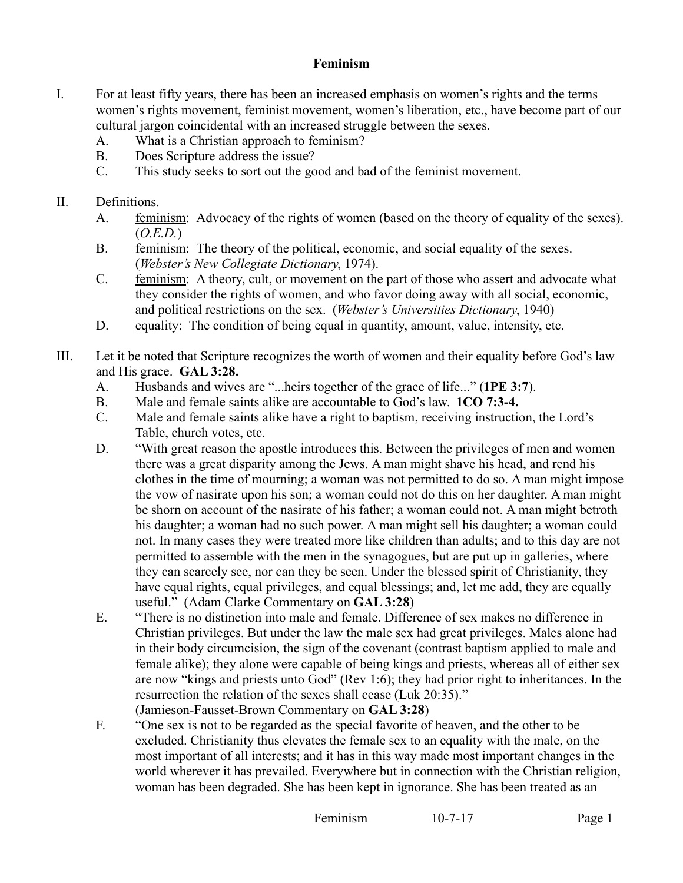## **Feminism**

- I. For at least fifty years, there has been an increased emphasis on women's rights and the terms women's rights movement, feminist movement, women's liberation, etc., have become part of our cultural jargon coincidental with an increased struggle between the sexes.
	- A. What is a Christian approach to feminism?
	- B. Does Scripture address the issue?
	- C. This study seeks to sort out the good and bad of the feminist movement.
- II. Definitions.
	- A. feminism: Advocacy of the rights of women (based on the theory of equality of the sexes). (*O.E.D.*)
	- B. feminism: The theory of the political, economic, and social equality of the sexes. (*Webster's New Collegiate Dictionary*, 1974).
	- C. feminism: A theory, cult, or movement on the part of those who assert and advocate what they consider the rights of women, and who favor doing away with all social, economic, and political restrictions on the sex. (*Webster's Universities Dictionary*, 1940)
	- D. equality: The condition of being equal in quantity, amount, value, intensity, etc.
- III. Let it be noted that Scripture recognizes the worth of women and their equality before God's law and His grace. **GAL 3:28.**
	- A. Husbands and wives are "...heirs together of the grace of life..." (**1PE 3:7**).
	- B. Male and female saints alike are accountable to God's law. **1CO 7:3-4.**
	- C. Male and female saints alike have a right to baptism, receiving instruction, the Lord's Table, church votes, etc.
	- D. "With great reason the apostle introduces this. Between the privileges of men and women there was a great disparity among the Jews. A man might shave his head, and rend his clothes in the time of mourning; a woman was not permitted to do so. A man might impose the vow of nasirate upon his son; a woman could not do this on her daughter. A man might be shorn on account of the nasirate of his father; a woman could not. A man might betroth his daughter; a woman had no such power. A man might sell his daughter; a woman could not. In many cases they were treated more like children than adults; and to this day are not permitted to assemble with the men in the synagogues, but are put up in galleries, where they can scarcely see, nor can they be seen. Under the blessed spirit of Christianity, they have equal rights, equal privileges, and equal blessings; and, let me add, they are equally useful." (Adam Clarke Commentary on **GAL 3:28**)
	- E. "There is no distinction into male and female. Difference of sex makes no difference in Christian privileges. But under the law the male sex had great privileges. Males alone had in their body circumcision, the sign of the covenant (contrast baptism applied to male and female alike); they alone were capable of being kings and priests, whereas all of either sex are now "kings and priests unto God" (Rev 1:6); they had prior right to inheritances. In the resurrection the relation of the sexes shall cease (Luk 20:35)." (Jamieson-Fausset-Brown Commentary on **GAL 3:28**)
	- F. "One sex is not to be regarded as the special favorite of heaven, and the other to be excluded. Christianity thus elevates the female sex to an equality with the male, on the most important of all interests; and it has in this way made most important changes in the world wherever it has prevailed. Everywhere but in connection with the Christian religion, woman has been degraded. She has been kept in ignorance. She has been treated as an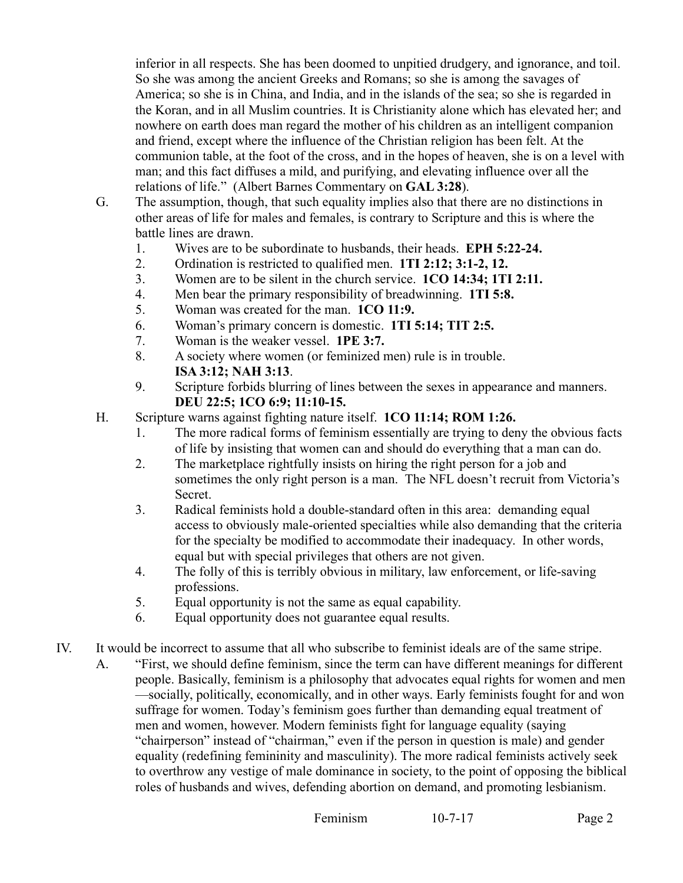inferior in all respects. She has been doomed to unpitied drudgery, and ignorance, and toil. So she was among the ancient Greeks and Romans; so she is among the savages of America; so she is in China, and India, and in the islands of the sea; so she is regarded in the Koran, and in all Muslim countries. It is Christianity alone which has elevated her; and nowhere on earth does man regard the mother of his children as an intelligent companion and friend, except where the influence of the Christian religion has been felt. At the communion table, at the foot of the cross, and in the hopes of heaven, she is on a level with man; and this fact diffuses a mild, and purifying, and elevating influence over all the relations of life." (Albert Barnes Commentary on **GAL 3:28**).

- G. The assumption, though, that such equality implies also that there are no distinctions in other areas of life for males and females, is contrary to Scripture and this is where the battle lines are drawn.
	- 1. Wives are to be subordinate to husbands, their heads. **EPH 5:22-24.**
	- 2. Ordination is restricted to qualified men. **1TI 2:12; 3:1-2, 12.**
	- 3. Women are to be silent in the church service. **1CO 14:34; 1TI 2:11.**
	- 4. Men bear the primary responsibility of breadwinning. **1TI 5:8.**
	- 5. Woman was created for the man. **1CO 11:9.**
	- 6. Woman's primary concern is domestic. **1TI 5:14; TIT 2:5.**
	- 7. Woman is the weaker vessel. **1PE 3:7.**
	- 8. A society where women (or feminized men) rule is in trouble. **ISA 3:12; NAH 3:13**.
	- 9. Scripture forbids blurring of lines between the sexes in appearance and manners. **DEU 22:5; 1CO 6:9; 11:10-15.**
- H. Scripture warns against fighting nature itself. **1CO 11:14; ROM 1:26.**
	- 1. The more radical forms of feminism essentially are trying to deny the obvious facts of life by insisting that women can and should do everything that a man can do.
	- 2. The marketplace rightfully insists on hiring the right person for a job and sometimes the only right person is a man. The NFL doesn't recruit from Victoria's Secret.
	- 3. Radical feminists hold a double-standard often in this area: demanding equal access to obviously male-oriented specialties while also demanding that the criteria for the specialty be modified to accommodate their inadequacy. In other words, equal but with special privileges that others are not given.
	- 4. The folly of this is terribly obvious in military, law enforcement, or life-saving professions.
	- 5. Equal opportunity is not the same as equal capability.
	- 6. Equal opportunity does not guarantee equal results.
- IV. It would be incorrect to assume that all who subscribe to feminist ideals are of the same stripe.
	- A. "First, we should define feminism, since the term can have different meanings for different people. Basically, feminism is a philosophy that advocates equal rights for women and men —socially, politically, economically, and in other ways. Early feminists fought for and won suffrage for women. Today's feminism goes further than demanding equal treatment of men and women, however. Modern feminists fight for language equality (saying "chairperson" instead of "chairman," even if the person in question is male) and gender equality (redefining femininity and masculinity). The more radical feminists actively seek to overthrow any vestige of male dominance in society, to the point of opposing the biblical roles of husbands and wives, defending abortion on demand, and promoting lesbianism.

Feminism 10-7-17 Page 2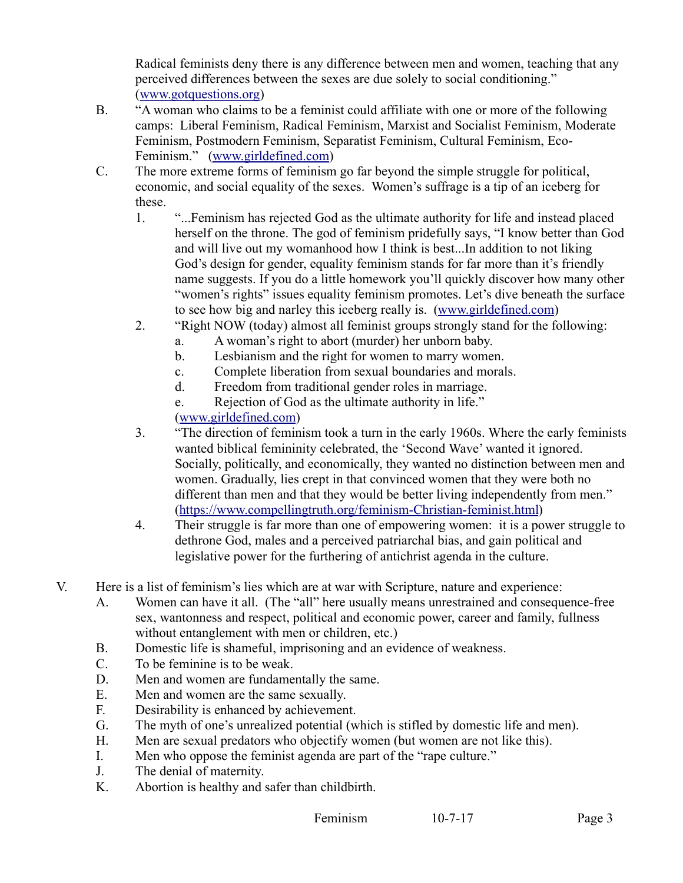Radical feminists deny there is any difference between men and women, teaching that any perceived differences between the sexes are due solely to social conditioning." [\(www.gotquestions.org\)](http://www.gotquestions.org/)

- B. "A woman who claims to be a feminist could affiliate with one or more of the following camps: Liberal Feminism, Radical Feminism, Marxist and Socialist Feminism, Moderate Feminism, Postmodern Feminism, Separatist Feminism, Cultural Feminism, Eco-Feminism." [\(www.girldefined.com\)](http://www.girldefined.com/)
- C. The more extreme forms of feminism go far beyond the simple struggle for political, economic, and social equality of the sexes. Women's suffrage is a tip of an iceberg for these.
	- 1. "...Feminism has rejected God as the ultimate authority for life and instead placed herself on the throne. The god of feminism pridefully says, "I know better than God and will live out my womanhood how I think is best...In addition to not liking God's design for gender, equality feminism stands for far more than it's friendly name suggests. If you do a little homework you'll quickly discover how many other "women's rights" issues equality feminism promotes. Let's dive beneath the surface to see how big and narley this iceberg really is. [\(www.girldefined.com\)](http://www.girldefined.com/)
	- 2. "Right NOW (today) almost all feminist groups strongly stand for the following:
		- a. A woman's right to abort (murder) her unborn baby.
		- b. Lesbianism and the right for women to marry women.
		- c. Complete liberation from sexual boundaries and morals.
		- d. Freedom from traditional gender roles in marriage.
		- e. Rejection of God as the ultimate authority in life."

[\(www.girldefined.com\)](http://www.girldefined.com/)

- 3. "The direction of feminism took a turn in the early 1960s. Where the early feminists wanted biblical femininity celebrated, the 'Second Wave' wanted it ignored. Socially, politically, and economically, they wanted no distinction between men and women. Gradually, lies crept in that convinced women that they were both no different than men and that they would be better living independently from men." [\(https://www.compellingtruth.org/feminism-Christian-feminist.html\)](https://www.compellingtruth.org/feminism-Christian-feminist.html)
- 4. Their struggle is far more than one of empowering women: it is a power struggle to dethrone God, males and a perceived patriarchal bias, and gain political and legislative power for the furthering of antichrist agenda in the culture.
- V. Here is a list of feminism's lies which are at war with Scripture, nature and experience:
	- A. Women can have it all. (The "all" here usually means unrestrained and consequence-free sex, wantonness and respect, political and economic power, career and family, fullness without entanglement with men or children, etc.)
	- B. Domestic life is shameful, imprisoning and an evidence of weakness.
	- C. To be feminine is to be weak.
	- D. Men and women are fundamentally the same.
	- E. Men and women are the same sexually.
	- F. Desirability is enhanced by achievement.
	- G. The myth of one's unrealized potential (which is stifled by domestic life and men).
	- H. Men are sexual predators who objectify women (but women are not like this).
	- I. Men who oppose the feminist agenda are part of the "rape culture."
	- J. The denial of maternity.
	- K. Abortion is healthy and safer than childbirth.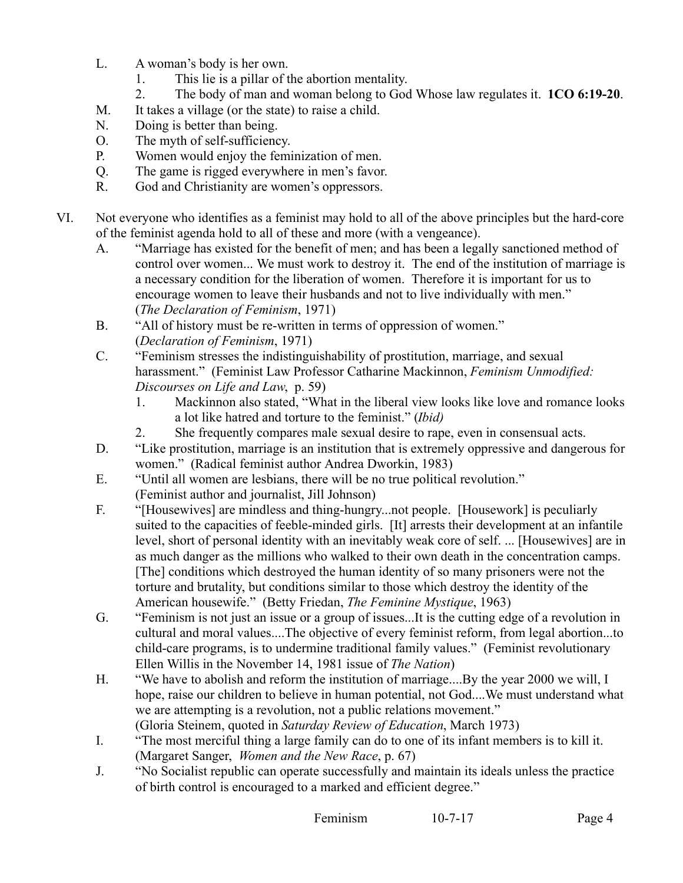- L. A woman's body is her own.
	- 1. This lie is a pillar of the abortion mentality.
	- 2. The body of man and woman belong to God Whose law regulates it. **1CO 6:19-20**.
- M. It takes a village (or the state) to raise a child.
- N. Doing is better than being.
- O. The myth of self-sufficiency.
- P. Women would enjoy the feminization of men.
- Q. The game is rigged everywhere in men's favor.
- R. God and Christianity are women's oppressors.
- VI. Not everyone who identifies as a feminist may hold to all of the above principles but the hard-core of the feminist agenda hold to all of these and more (with a vengeance).
	- A. "Marriage has existed for the benefit of men; and has been a legally sanctioned method of control over women... We must work to destroy it. The end of the institution of marriage is a necessary condition for the liberation of women. Therefore it is important for us to encourage women to leave their husbands and not to live individually with men." (*The Declaration of Feminism*, 1971)
	- B. "All of history must be re-written in terms of oppression of women." (*Declaration of Feminism*, 1971)
	- C. "Feminism stresses the indistinguishability of prostitution, marriage, and sexual harassment." (Feminist Law Professor Catharine Mackinnon, *Feminism Unmodified: Discourses on Life and Law*, p. 59)
		- 1. Mackinnon also stated, "What in the liberal view looks like love and romance looks a lot like hatred and torture to the feminist." (*Ibid)*
		- 2. She frequently compares male sexual desire to rape, even in consensual acts.
	- D. "Like prostitution, marriage is an institution that is extremely oppressive and dangerous for women." (Radical feminist author Andrea Dworkin, 1983)
	- E. "Until all women are lesbians, there will be no true political revolution." (Feminist author and journalist, Jill Johnson)
	- F. "[Housewives] are mindless and thing-hungry...not people. [Housework] is peculiarly suited to the capacities of feeble-minded girls. [It] arrests their development at an infantile level, short of personal identity with an inevitably weak core of self. ... [Housewives] are in as much danger as the millions who walked to their own death in the concentration camps. [The] conditions which destroyed the human identity of so many prisoners were not the torture and brutality, but conditions similar to those which destroy the identity of the American housewife." (Betty Friedan, *The Feminine Mystique*, 1963)
	- G. "Feminism is not just an issue or a group of issues...It is the cutting edge of a revolution in cultural and moral values....The objective of every feminist reform, from legal abortion...to child-care programs, is to undermine traditional family values." (Feminist revolutionary Ellen Willis in the November 14, 1981 issue of *The Nation*)
	- H. "We have to abolish and reform the institution of marriage....By the year 2000 we will, I hope, raise our children to believe in human potential, not God....We must understand what we are attempting is a revolution, not a public relations movement." (Gloria Steinem, quoted in *Saturday Review of Education*, March 1973)

I. "The most merciful thing a large family can do to one of its infant members is to kill it.

- (Margaret Sanger, *Women and the New Race*, p. 67)
- J. "No Socialist republic can operate successfully and maintain its ideals unless the practice of birth control is encouraged to a marked and efficient degree."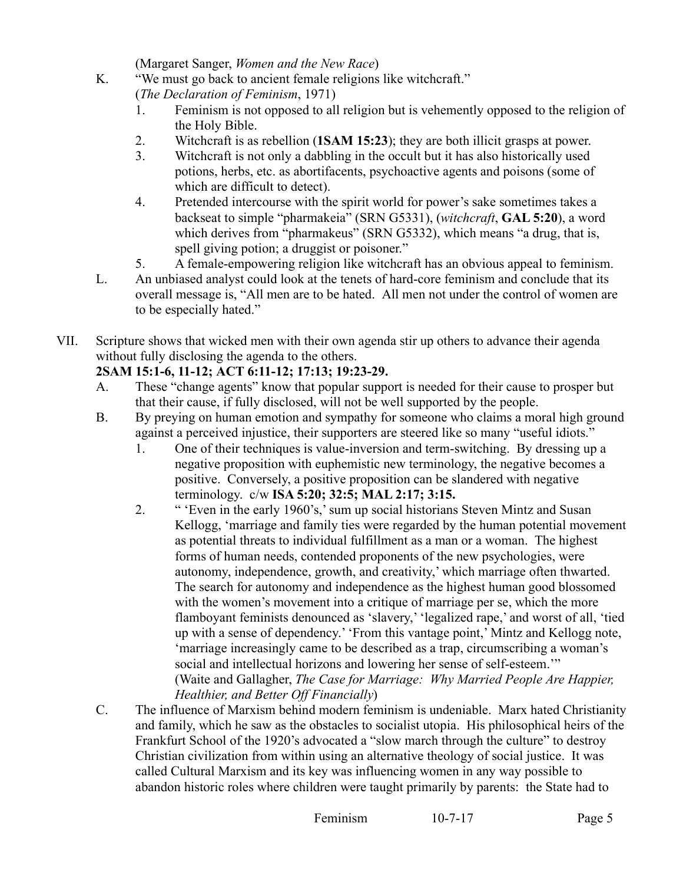(Margaret Sanger, *Women and the New Race*)

K. "We must go back to ancient female religions like witchcraft."

(*The Declaration of Feminism*, 1971)

- 1. Feminism is not opposed to all religion but is vehemently opposed to the religion of the Holy Bible.
- 2. Witchcraft is as rebellion (**1SAM 15:23**); they are both illicit grasps at power.
- 3. Witchcraft is not only a dabbling in the occult but it has also historically used potions, herbs, etc. as abortifacents, psychoactive agents and poisons (some of which are difficult to detect).
- 4. Pretended intercourse with the spirit world for power's sake sometimes takes a backseat to simple "pharmakeia" (SRN G5331), (*witchcraft*, **GAL 5:20**), a word which derives from "pharmakeus" (SRN G5332), which means "a drug, that is, spell giving potion; a druggist or poisoner."
- 5. A female-empowering religion like witchcraft has an obvious appeal to feminism.
- L. An unbiased analyst could look at the tenets of hard-core feminism and conclude that its overall message is, "All men are to be hated. All men not under the control of women are to be especially hated."
- VII. Scripture shows that wicked men with their own agenda stir up others to advance their agenda without fully disclosing the agenda to the others.

## **2SAM 15:1-6, 11-12; ACT 6:11-12; 17:13; 19:23-29.**

- A. These "change agents" know that popular support is needed for their cause to prosper but that their cause, if fully disclosed, will not be well supported by the people.
- B. By preying on human emotion and sympathy for someone who claims a moral high ground against a perceived injustice, their supporters are steered like so many "useful idiots."
	- 1. One of their techniques is value-inversion and term-switching. By dressing up a negative proposition with euphemistic new terminology, the negative becomes a positive. Conversely, a positive proposition can be slandered with negative terminology. c/w **ISA 5:20; 32:5; MAL 2:17; 3:15.**
	- 2. " 'Even in the early 1960's,' sum up social historians Steven Mintz and Susan Kellogg, 'marriage and family ties were regarded by the human potential movement as potential threats to individual fulfillment as a man or a woman. The highest forms of human needs, contended proponents of the new psychologies, were autonomy, independence, growth, and creativity,' which marriage often thwarted. The search for autonomy and independence as the highest human good blossomed with the women's movement into a critique of marriage per se, which the more flamboyant feminists denounced as 'slavery,' 'legalized rape,' and worst of all, 'tied up with a sense of dependency.' 'From this vantage point,' Mintz and Kellogg note, 'marriage increasingly came to be described as a trap, circumscribing a woman's social and intellectual horizons and lowering her sense of self-esteem.'" (Waite and Gallagher, *The Case for Marriage: Why Married People Are Happier, Healthier, and Better Off Financially*)
- C. The influence of Marxism behind modern feminism is undeniable. Marx hated Christianity and family, which he saw as the obstacles to socialist utopia. His philosophical heirs of the Frankfurt School of the 1920's advocated a "slow march through the culture" to destroy Christian civilization from within using an alternative theology of social justice. It was called Cultural Marxism and its key was influencing women in any way possible to abandon historic roles where children were taught primarily by parents: the State had to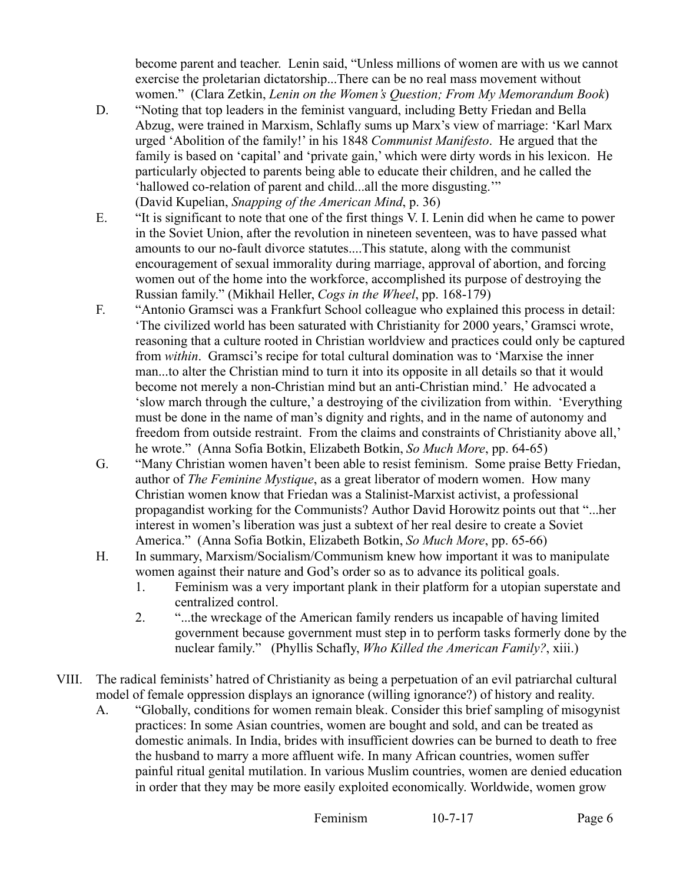become parent and teacher. Lenin said, "Unless millions of women are with us we cannot exercise the proletarian dictatorship...There can be no real mass movement without women." (Clara Zetkin, *Lenin on the Women's Question; From My Memorandum Book*)

- D. "Noting that top leaders in the feminist vanguard, including Betty Friedan and Bella Abzug, were trained in Marxism, Schlafly sums up Marx's view of marriage: 'Karl Marx urged 'Abolition of the family!' in his 1848 *Communist Manifesto*. He argued that the family is based on 'capital' and 'private gain,' which were dirty words in his lexicon. He particularly objected to parents being able to educate their children, and he called the 'hallowed co-relation of parent and child...all the more disgusting.'" (David Kupelian, *Snapping of the American Mind*, p. 36)
- E. "It is significant to note that one of the first things V. I. Lenin did when he came to power in the Soviet Union, after the revolution in nineteen seventeen, was to have passed what amounts to our no-fault divorce statutes....This statute, along with the communist encouragement of sexual immorality during marriage, approval of abortion, and forcing women out of the home into the workforce, accomplished its purpose of destroying the Russian family." (Mikhail Heller, *Cogs in the Wheel*, pp. 168-179)
- F. "Antonio Gramsci was a Frankfurt School colleague who explained this process in detail: 'The civilized world has been saturated with Christianity for 2000 years,' Gramsci wrote, reasoning that a culture rooted in Christian worldview and practices could only be captured from *within*. Gramsci's recipe for total cultural domination was to 'Marxise the inner man...to alter the Christian mind to turn it into its opposite in all details so that it would become not merely a non-Christian mind but an anti-Christian mind.' He advocated a 'slow march through the culture,' a destroying of the civilization from within. 'Everything must be done in the name of man's dignity and rights, and in the name of autonomy and freedom from outside restraint. From the claims and constraints of Christianity above all,' he wrote." (Anna Sofia Botkin, Elizabeth Botkin, *So Much More*, pp. 64-65)
- G. "Many Christian women haven't been able to resist feminism. Some praise Betty Friedan, author of *The Feminine Mystique*, as a great liberator of modern women. How many Christian women know that Friedan was a Stalinist-Marxist activist, a professional propagandist working for the Communists? Author David Horowitz points out that "...her interest in women's liberation was just a subtext of her real desire to create a Soviet America." (Anna Sofia Botkin, Elizabeth Botkin, *So Much More*, pp. 65-66)
- H. In summary, Marxism/Socialism/Communism knew how important it was to manipulate women against their nature and God's order so as to advance its political goals.
	- 1. Feminism was a very important plank in their platform for a utopian superstate and centralized control.
	- 2. "...the wreckage of the American family renders us incapable of having limited government because government must step in to perform tasks formerly done by the nuclear family." (Phyllis Schafly, *Who Killed the American Family?*, xiii.)
- VIII. The radical feminists' hatred of Christianity as being a perpetuation of an evil patriarchal cultural model of female oppression displays an ignorance (willing ignorance?) of history and reality.
	- A. "Globally, conditions for women remain bleak. Consider this brief sampling of misogynist practices: In some Asian countries, women are bought and sold, and can be treated as domestic animals. In India, brides with insufficient dowries can be burned to death to free the husband to marry a more affluent wife. In many African countries, women suffer painful ritual genital mutilation. In various Muslim countries, women are denied education in order that they may be more easily exploited economically. Worldwide, women grow